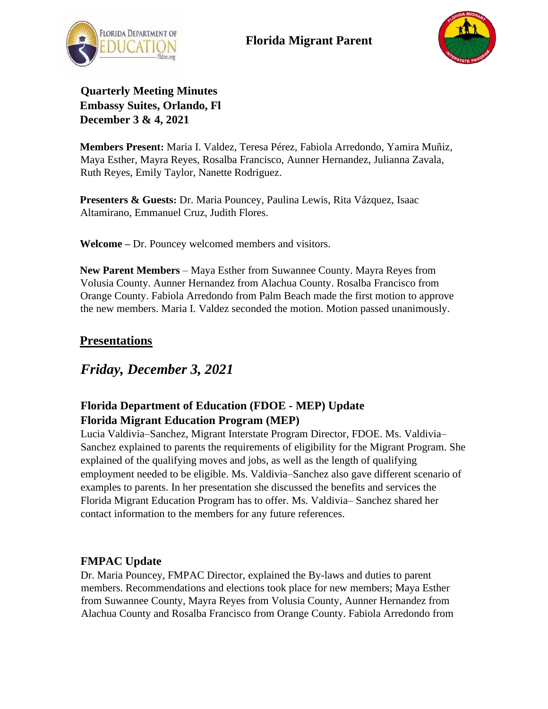



**Quarterly Meeting Minutes Embassy Suites, Orlando, Fl December 3 & 4, 2021**

**Members Present:** Maria I. Valdez, Teresa Pérez, Fabiola Arredondo, Yamira Muñiz, Maya Esther, Mayra Reyes, Rosalba Francisco, Aunner Hernandez, Julianna Zavala, Ruth Reyes, Emily Taylor, Nanette Rodriguez.

**Presenters & Guests:** Dr. Maria Pouncey, Paulina Lewis, Rita Vázquez, Isaac Altamirano, Emmanuel Cruz, Judith Flores.

**Welcome –** Dr. Pouncey welcomed members and visitors.

**New Parent Members** – Maya Esther from Suwannee County. Mayra Reyes from Volusia County. Aunner Hernandez from Alachua County. Rosalba Francisco from Orange County. Fabiola Arredondo from Palm Beach made the first motion to approve the new members. Maria I. Valdez seconded the motion. Motion passed unanimously.

### **Presentations**

# *Friday, December 3, 2021*

### **Florida Department of Education (FDOE - MEP) Update Florida Migrant Education Program (MEP)**

Lucia Valdivia–Sanchez, Migrant Interstate Program Director, FDOE. Ms. Valdivia– Sanchez explained to parents the requirements of eligibility for the Migrant Program. She explained of the qualifying moves and jobs, as well as the length of qualifying employment needed to be eligible. Ms. Valdivia–Sanchez also gave different scenario of examples to parents. In her presentation she discussed the benefits and services the Florida Migrant Education Program has to offer. Ms. Valdivia– Sanchez shared her contact information to the members for any future references.

### **FMPAC Update**

Dr. Maria Pouncey, FMPAC Director, explained the By-laws and duties to parent members. Recommendations and elections took place for new members; Maya Esther from Suwannee County, Mayra Reyes from Volusia County, Aunner Hernandez from Alachua County and Rosalba Francisco from Orange County. Fabiola Arredondo from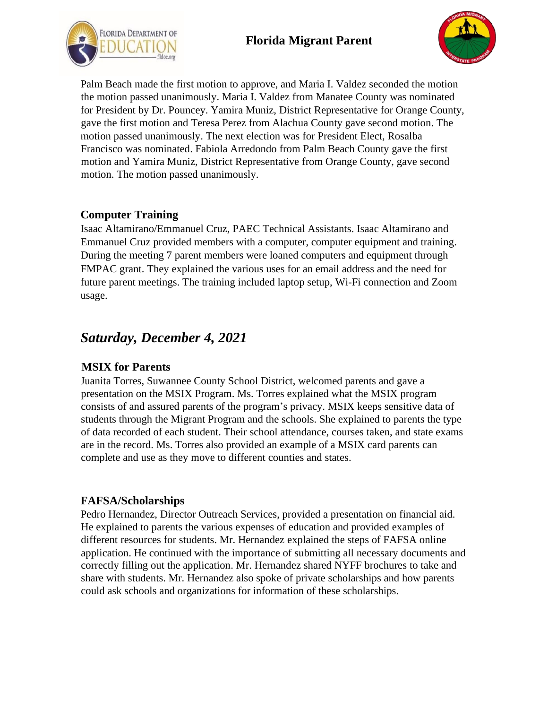## **Florida Migrant Parent**





Palm Beach made the first motion to approve, and Maria I. Valdez seconded the motion the motion passed unanimously. Maria I. Valdez from Manatee County was nominated for President by Dr. Pouncey. Yamira Muniz, District Representative for Orange County, gave the first motion and Teresa Perez from Alachua County gave second motion. The motion passed unanimously. The next election was for President Elect, Rosalba Francisco was nominated. Fabiola Arredondo from Palm Beach County gave the first motion and Yamira Muniz, District Representative from Orange County, gave second motion. The motion passed unanimously.

#### **Computer Training**

Isaac Altamirano/Emmanuel Cruz, PAEC Technical Assistants. Isaac Altamirano and Emmanuel Cruz provided members with a computer, computer equipment and training. During the meeting 7 parent members were loaned computers and equipment through FMPAC grant. They explained the various uses for an email address and the need for future parent meetings. The training included laptop setup, Wi-Fi connection and Zoom usage.

# *Saturday, December 4, 2021*

### **MSIX for Parents**

Juanita Torres, Suwannee County School District, welcomed parents and gave a presentation on the MSIX Program. Ms. Torres explained what the MSIX program consists of and assured parents of the program's privacy. MSIX keeps sensitive data of students through the Migrant Program and the schools. She explained to parents the type of data recorded of each student. Their school attendance, courses taken, and state exams are in the record. Ms. Torres also provided an example of a MSIX card parents can complete and use as they move to different counties and states.

### **FAFSA/Scholarships**

Pedro Hernandez, Director Outreach Services, provided a presentation on financial aid. He explained to parents the various expenses of education and provided examples of different resources for students. Mr. Hernandez explained the steps of FAFSA online application. He continued with the importance of submitting all necessary documents and correctly filling out the application. Mr. Hernandez shared NYFF brochures to take and share with students. Mr. Hernandez also spoke of private scholarships and how parents could ask schools and organizations for information of these scholarships.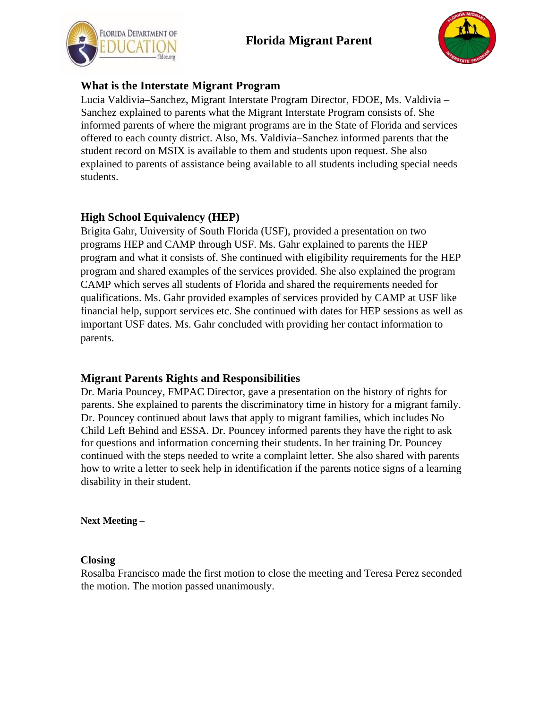



### **What is the Interstate Migrant Program**

Lucia Valdivia–Sanchez, Migrant Interstate Program Director, FDOE, Ms. Valdivia – Sanchez explained to parents what the Migrant Interstate Program consists of. She informed parents of where the migrant programs are in the State of Florida and services offered to each county district. Also, Ms. Valdivia–Sanchez informed parents that the student record on MSIX is available to them and students upon request. She also explained to parents of assistance being available to all students including special needs students.

### **High School Equivalency (HEP)**

Brigita Gahr, University of South Florida (USF), provided a presentation on two programs HEP and CAMP through USF. Ms. Gahr explained to parents the HEP program and what it consists of. She continued with eligibility requirements for the HEP program and shared examples of the services provided. She also explained the program CAMP which serves all students of Florida and shared the requirements needed for qualifications. Ms. Gahr provided examples of services provided by CAMP at USF like financial help, support services etc. She continued with dates for HEP sessions as well as important USF dates. Ms. Gahr concluded with providing her contact information to parents.

### **Migrant Parents Rights and Responsibilities**

Dr. Maria Pouncey, FMPAC Director, gave a presentation on the history of rights for parents. She explained to parents the discriminatory time in history for a migrant family. Dr. Pouncey continued about laws that apply to migrant families, which includes No Child Left Behind and ESSA. Dr. Pouncey informed parents they have the right to ask for questions and information concerning their students. In her training Dr. Pouncey continued with the steps needed to write a complaint letter. She also shared with parents how to write a letter to seek help in identification if the parents notice signs of a learning disability in their student.

**Next Meeting –**

#### **Closing**

Rosalba Francisco made the first motion to close the meeting and Teresa Perez seconded the motion. The motion passed unanimously.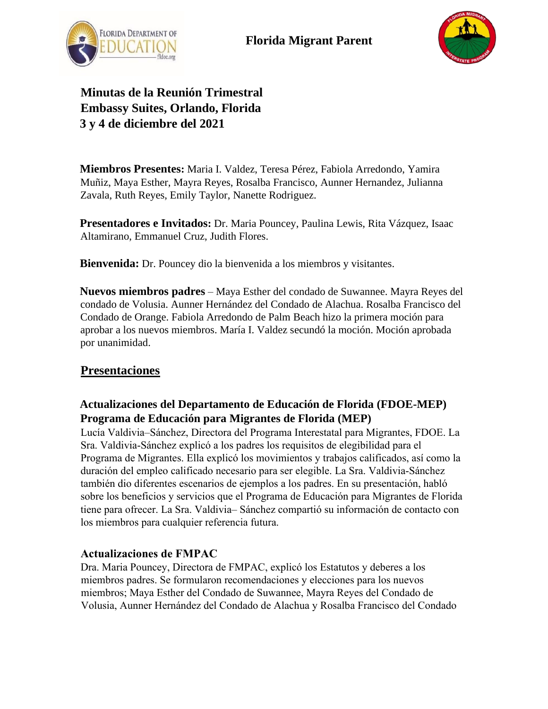



**Minutas de la Reunión Trimestral Embassy Suites, Orlando, Florida 3 y 4 de diciembre del 2021** 

**Miembros Presentes:** Maria I. Valdez, Teresa Pérez, Fabiola Arredondo, Yamira Muñiz, Maya Esther, Mayra Reyes, Rosalba Francisco, Aunner Hernandez, Julianna Zavala, Ruth Reyes, Emily Taylor, Nanette Rodriguez.

**Presentadores e Invitados:** Dr. Maria Pouncey, Paulina Lewis, Rita Vázquez, Isaac Altamirano, Emmanuel Cruz, Judith Flores.

**Bienvenida:** Dr. Pouncey dio la bienvenida a los miembros y visitantes.

**Nuevos miembros padres** – Maya Esther del condado de Suwannee. Mayra Reyes del condado de Volusia. Aunner Hernández del Condado de Alachua. Rosalba Francisco del Condado de Orange. Fabiola Arredondo de Palm Beach hizo la primera moción para aprobar a los nuevos miembros. María I. Valdez secundó la moción. Moción aprobada por unanimidad.

### **Presentaciones**

### **Actualizaciones del Departamento de Educación de Florida (FDOE-MEP) Programa de Educación para Migrantes de Florida (MEP)**

Lucía Valdivia–Sánchez, Directora del Programa Interestatal para Migrantes, FDOE. La Sra. Valdivia-Sánchez explicó a los padres los requisitos de elegibilidad para el Programa de Migrantes. Ella explicó los movimientos y trabajos calificados, así como la duración del empleo calificado necesario para ser elegible. La Sra. Valdivia-Sánchez también dio diferentes escenarios de ejemplos a los padres. En su presentación, habló sobre los beneficios y servicios que el Programa de Educación para Migrantes de Florida tiene para ofrecer. La Sra. Valdivia– Sánchez compartió su información de contacto con los miembros para cualquier referencia futura.

### **Actualizaciones de FMPAC**

Dra. Maria Pouncey, Directora de FMPAC, explicó los Estatutos y deberes a los miembros padres. Se formularon recomendaciones y elecciones para los nuevos miembros; Maya Esther del Condado de Suwannee, Mayra Reyes del Condado de Volusia, Aunner Hernández del Condado de Alachua y Rosalba Francisco del Condado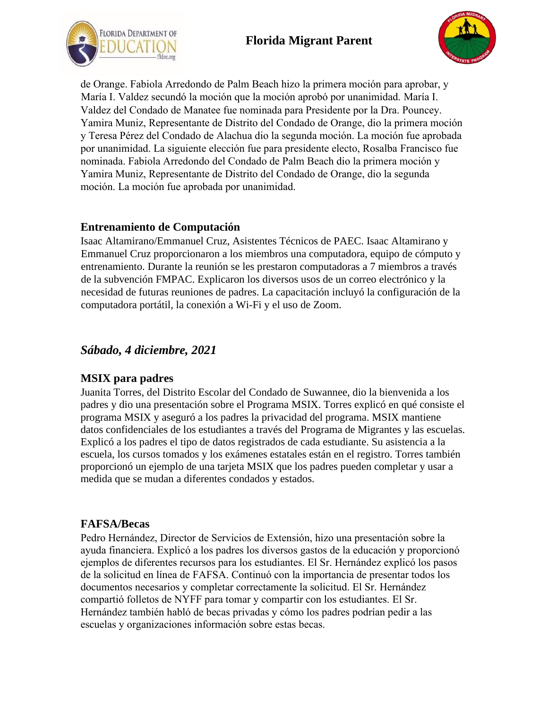



de Orange. Fabiola Arredondo de Palm Beach hizo la primera moción para aprobar, y María I. Valdez secundó la moción que la moción aprobó por unanimidad. María I. Valdez del Condado de Manatee fue nominada para Presidente por la Dra. Pouncey. Yamira Muniz, Representante de Distrito del Condado de Orange, dio la primera moción y Teresa Pérez del Condado de Alachua dio la segunda moción. La moción fue aprobada por unanimidad. La siguiente elección fue para presidente electo, Rosalba Francisco fue nominada. Fabiola Arredondo del Condado de Palm Beach dio la primera moción y Yamira Muniz, Representante de Distrito del Condado de Orange, dio la segunda moción. La moción fue aprobada por unanimidad.

#### **Entrenamiento de Computación**

Isaac Altamirano/Emmanuel Cruz, Asistentes Técnicos de PAEC. Isaac Altamirano y Emmanuel Cruz proporcionaron a los miembros una computadora, equipo de cómputo y entrenamiento. Durante la reunión se les prestaron computadoras a 7 miembros a través de la subvención FMPAC. Explicaron los diversos usos de un correo electrónico y la necesidad de futuras reuniones de padres. La capacitación incluyó la configuración de la computadora portátil, la conexión a Wi-Fi y el uso de Zoom.

## *Sábado, 4 diciembre, 2021*

### **MSIX para padres**

Juanita Torres, del Distrito Escolar del Condado de Suwannee, dio la bienvenida a los padres y dio una presentación sobre el Programa MSIX. Torres explicó en qué consiste el programa MSIX y aseguró a los padres la privacidad del programa. MSIX mantiene datos confidenciales de los estudiantes a través del Programa de Migrantes y las escuelas. Explicó a los padres el tipo de datos registrados de cada estudiante. Su asistencia a la escuela, los cursos tomados y los exámenes estatales están en el registro. Torres también proporcionó un ejemplo de una tarjeta MSIX que los padres pueden completar y usar a medida que se mudan a diferentes condados y estados.

### **FAFSA/Becas**

Pedro Hernández, Director de Servicios de Extensión, hizo una presentación sobre la ayuda financiera. Explicó a los padres los diversos gastos de la educación y proporcionó ejemplos de diferentes recursos para los estudiantes. El Sr. Hernández explicó los pasos de la solicitud en línea de FAFSA. Continuó con la importancia de presentar todos los documentos necesarios y completar correctamente la solicitud. El Sr. Hernández compartió folletos de NYFF para tomar y compartir con los estudiantes. El Sr. Hernández también habló de becas privadas y cómo los padres podrían pedir a las escuelas y organizaciones información sobre estas becas.